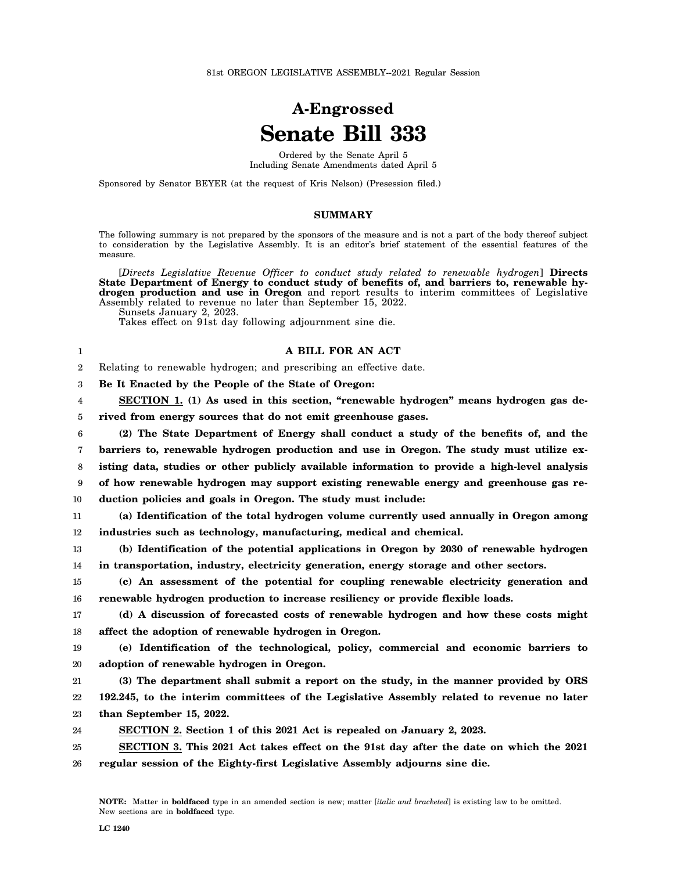## **A-Engrossed Senate Bill 333**

Ordered by the Senate April 5 Including Senate Amendments dated April 5

Sponsored by Senator BEYER (at the request of Kris Nelson) (Presession filed.)

## **SUMMARY**

The following summary is not prepared by the sponsors of the measure and is not a part of the body thereof subject to consideration by the Legislative Assembly. It is an editor's brief statement of the essential features of the measure.

[*Directs Legislative Revenue Officer to conduct study related to renewable hydrogen*] **Directs** State Department of Energy to conduct study of benefits of, and barriers to, renewable hy**drogen production and use in Oregon** and report results to interim committees of Legislative Assembly related to revenue no later than September 15, 2022.

Sunsets January 2, 2023.

1

Takes effect on 91st day following adjournment sine die.

## **A BILL FOR AN ACT**

2 Relating to renewable hydrogen; and prescribing an effective date.

3 **Be It Enacted by the People of the State of Oregon:**

4 **SECTION 1. (1) As used in this section, "renewable hydrogen" means hydrogen gas de-**

5 **rived from energy sources that do not emit greenhouse gases.**

6 7 8 9 10 **(2) The State Department of Energy shall conduct a study of the benefits of, and the barriers to, renewable hydrogen production and use in Oregon. The study must utilize existing data, studies or other publicly available information to provide a high-level analysis of how renewable hydrogen may support existing renewable energy and greenhouse gas reduction policies and goals in Oregon. The study must include:**

11 12 **(a) Identification of the total hydrogen volume currently used annually in Oregon among industries such as technology, manufacturing, medical and chemical.**

13 14 **(b) Identification of the potential applications in Oregon by 2030 of renewable hydrogen in transportation, industry, electricity generation, energy storage and other sectors.**

15 16 **(c) An assessment of the potential for coupling renewable electricity generation and renewable hydrogen production to increase resiliency or provide flexible loads.**

17 18 **(d) A discussion of forecasted costs of renewable hydrogen and how these costs might affect the adoption of renewable hydrogen in Oregon.**

19 20 **(e) Identification of the technological, policy, commercial and economic barriers to adoption of renewable hydrogen in Oregon.**

21 22 23 **(3) The department shall submit a report on the study, in the manner provided by ORS 192.245, to the interim committees of the Legislative Assembly related to revenue no later than September 15, 2022.**

24 **SECTION 2. Section 1 of this 2021 Act is repealed on January 2, 2023.**

25 26 **SECTION 3. This 2021 Act takes effect on the 91st day after the date on which the 2021 regular session of the Eighty-first Legislative Assembly adjourns sine die.**